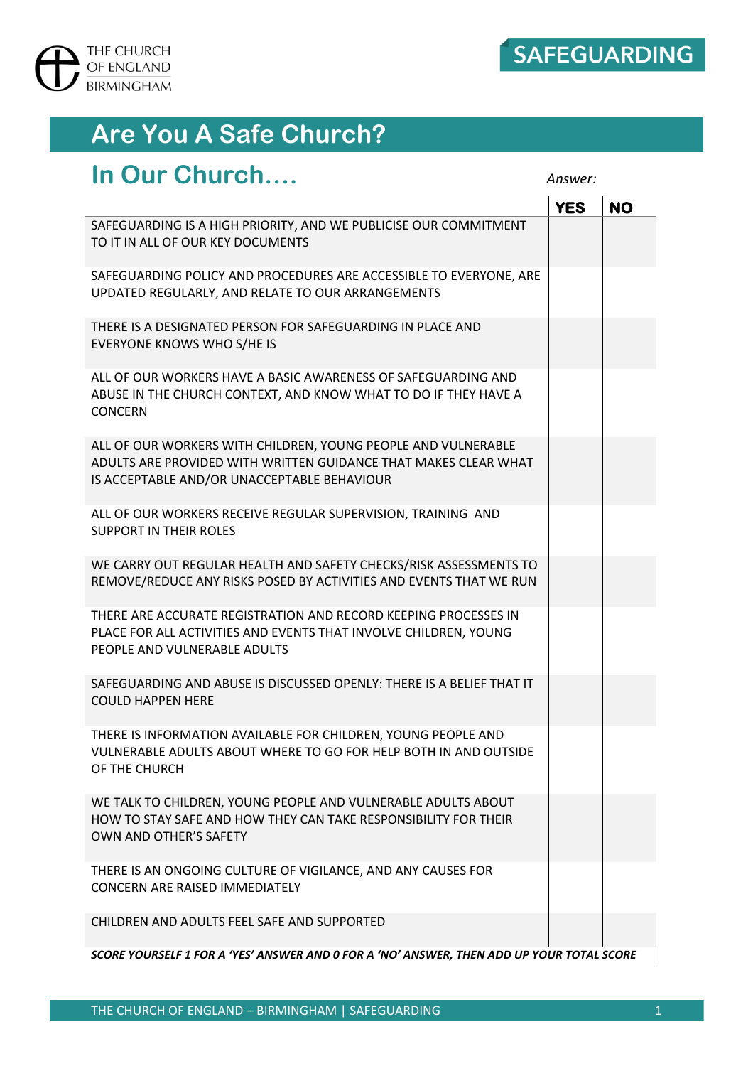

## **Are You A Safe Church?**

## **In Our Church….** *Answer:*

|                                                                                                                                                                                 | <b>YES</b> | <b>NO</b> |  |
|---------------------------------------------------------------------------------------------------------------------------------------------------------------------------------|------------|-----------|--|
| SAFEGUARDING IS A HIGH PRIORITY, AND WE PUBLICISE OUR COMMITMENT<br>TO IT IN ALL OF OUR KEY DOCUMENTS                                                                           |            |           |  |
| SAFEGUARDING POLICY AND PROCEDURES ARE ACCESSIBLE TO EVERYONE, ARE<br>UPDATED REGULARLY, AND RELATE TO OUR ARRANGEMENTS                                                         |            |           |  |
| THERE IS A DESIGNATED PERSON FOR SAFEGUARDING IN PLACE AND<br><b>EVERYONE KNOWS WHO S/HE IS</b>                                                                                 |            |           |  |
| ALL OF OUR WORKERS HAVE A BASIC AWARENESS OF SAFEGUARDING AND<br>ABUSE IN THE CHURCH CONTEXT, AND KNOW WHAT TO DO IF THEY HAVE A<br><b>CONCERN</b>                              |            |           |  |
| ALL OF OUR WORKERS WITH CHILDREN, YOUNG PEOPLE AND VULNERABLE<br>ADULTS ARE PROVIDED WITH WRITTEN GUIDANCE THAT MAKES CLEAR WHAT<br>IS ACCEPTABLE AND/OR UNACCEPTABLE BEHAVIOUR |            |           |  |
| ALL OF OUR WORKERS RECEIVE REGULAR SUPERVISION, TRAINING AND<br><b>SUPPORT IN THEIR ROLES</b>                                                                                   |            |           |  |
| WE CARRY OUT REGULAR HEALTH AND SAFETY CHECKS/RISK ASSESSMENTS TO<br>REMOVE/REDUCE ANY RISKS POSED BY ACTIVITIES AND EVENTS THAT WE RUN                                         |            |           |  |
| THERE ARE ACCURATE REGISTRATION AND RECORD KEEPING PROCESSES IN<br>PLACE FOR ALL ACTIVITIES AND EVENTS THAT INVOLVE CHILDREN, YOUNG<br>PEOPLE AND VULNERABLE ADULTS             |            |           |  |
| SAFEGUARDING AND ABUSE IS DISCUSSED OPENLY: THERE IS A BELIEF THAT IT<br><b>COULD HAPPEN HERE</b>                                                                               |            |           |  |
| THERE IS INFORMATION AVAILABLE FOR CHILDREN, YOUNG PEOPLE AND<br>VULNERABLE ADULTS ABOUT WHERE TO GO FOR HELP BOTH IN AND OUTSIDE<br>OF THE CHURCH                              |            |           |  |
| WE TALK TO CHILDREN, YOUNG PEOPLE AND VULNERABLE ADULTS ABOUT<br>HOW TO STAY SAFE AND HOW THEY CAN TAKE RESPONSIBILITY FOR THEIR<br>OWN AND OTHER'S SAFETY                      |            |           |  |
| THERE IS AN ONGOING CULTURE OF VIGILANCE, AND ANY CAUSES FOR<br><b>CONCERN ARE RAISED IMMEDIATELY</b>                                                                           |            |           |  |
| CHILDREN AND ADULTS FEEL SAFE AND SUPPORTED                                                                                                                                     |            |           |  |
| SCORE YOURSELF 1 FOR A 'YES' ANSWER AND 0 FOR A 'NO' ANSWER, THEN ADD UP YOUR TOTAL SCORE                                                                                       |            |           |  |